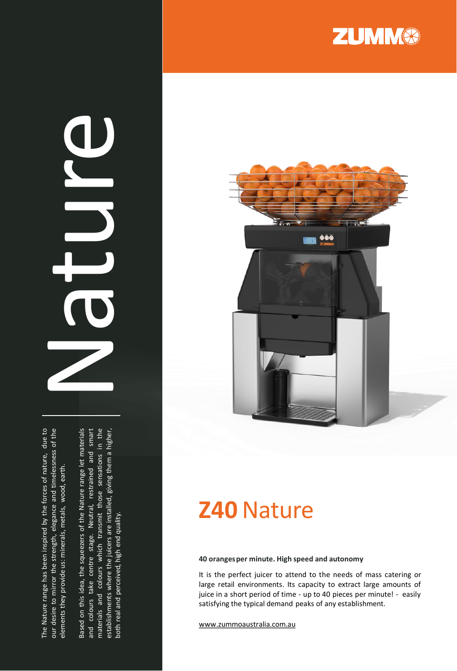The Nature range has been inspired by the forces of nature, due to our desire to mirror the strength, elegance and timelessness of the The Nature range has been inspired by the forces of nature, due to our desire to mirror the strength, elegance and timelessness of the elements they provide us: minerals, metals, wood, earth. elements they provide us: minerals, metals, wood, earth.

Based on this idea, the squeezers of the Nature range let materials Based on this idea, the squeezers of the Nature range let materials and colours take centre stage. Neutral, restrained and smart and colours take centre stage. Neutral, restrained and smart materials and colours which transmit those sensations in the materials and colours which transmit those sensations in the establishments where the juicers are installed, giving them a higher, establishments where the juicers are installed, giving them a higher, both real and perceived, high end quality. both real and perceived, high end quality.

Nature



**ZUMM®** 

## **Z40**Nature

**40 oranges per minute. High speed and autonomy**

It is the perfect juicer to attend to the needs of mass catering or large retail environments. Its capacity to extract large amounts of juice in a short period of time - up to 40 pieces per minute! - easily satisfying the typical demand peaks of any establishment .

www [.zummoaustralia](http://www.zummoaustralia.com.au/) .com .au